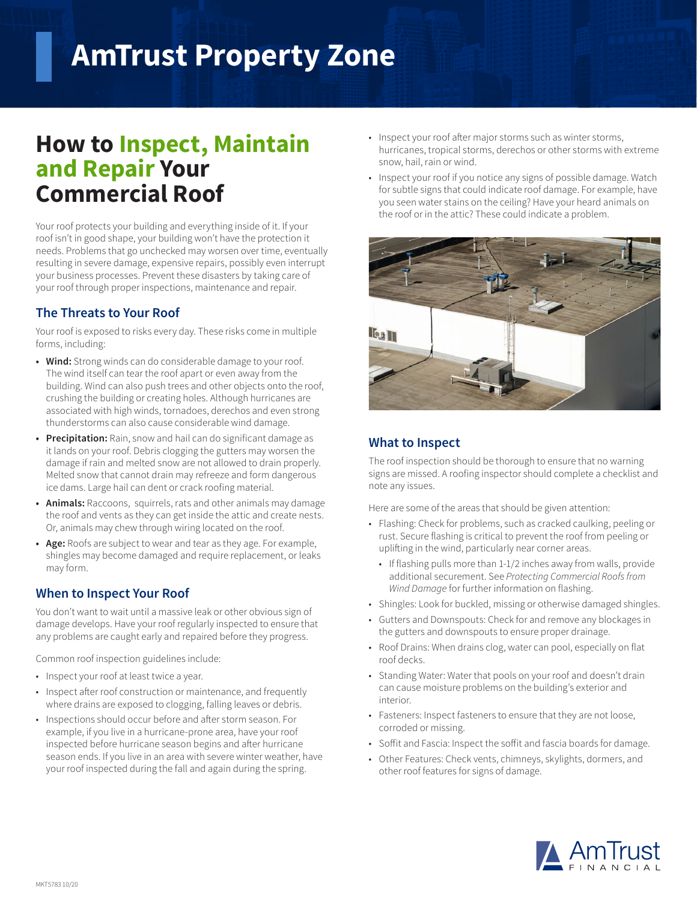# **AmTrust Property Zone**

## **How to Inspect, Maintain and Repair Your Commercial Roof**

Your roof protects your building and everything inside of it. If your roof isn't in good shape, your building won't have the protection it needs. Problems that go unchecked may worsen over time, eventually resulting in severe damage, expensive repairs, possibly even interrupt your business processes. Prevent these disasters by taking care of your roof through proper inspections, maintenance and repair.

### **The Threats to Your Roof**

Your roof is exposed to risks every day. These risks come in multiple forms, including:

- **• Wind:** Strong winds can do considerable damage to your roof. The wind itself can tear the roof apart or even away from the building. Wind can also push trees and other objects onto the roof, crushing the building or creating holes. Although hurricanes are associated with high winds, tornadoes, derechos and even strong thunderstorms can also cause considerable wind damage.
- **• Precipitation:** Rain, snow and hail can do significant damage as it lands on your roof. Debris clogging the gutters may worsen the damage if rain and melted snow are not allowed to drain properly. Melted snow that cannot drain may refreeze and form dangerous ice dams. Large hail can dent or crack roofing material.
- **• Animals:** Raccoons, squirrels, rats and other animals may damage the roof and vents as they can get inside the attic and create nests. Or, animals may chew through wiring located on the roof.
- **• Age:** Roofs are subject to wear and tear as they age. For example, shingles may become damaged and require replacement, or leaks may form.

#### **When to Inspect Your Roof**

You don't want to wait until a massive leak or other obvious sign of damage develops. Have your roof regularly inspected to ensure that any problems are caught early and repaired before they progress.

Common roof inspection guidelines include:

- Inspect your roof at least twice a year.
- Inspect after roof construction or maintenance, and frequently where drains are exposed to clogging, falling leaves or debris.
- Inspections should occur before and after storm season. For example, if you live in a hurricane-prone area, have your roof inspected before hurricane season begins and after hurricane season ends. If you live in an area with severe winter weather, have your roof inspected during the fall and again during the spring.
- Inspect your roof after major storms such as winter storms, hurricanes, tropical storms, derechos or other storms with extreme snow, hail, rain or wind.
- Inspect your roof if you notice any signs of possible damage. Watch for subtle signs that could indicate roof damage. For example, have you seen water stains on the ceiling? Have your heard animals on the roof or in the attic? These could indicate a problem.



#### **What to Inspect**

The roof inspection should be thorough to ensure that no warning signs are missed. A roofing inspector should complete a checklist and note any issues.

Here are some of the areas that should be given attention:

- Flashing: Check for problems, such as cracked caulking, peeling or rust. Secure flashing is critical to prevent the roof from peeling or uplifting in the wind, particularly near corner areas.
	- If flashing pulls more than 1-1/2 inches away from walls, provide additional securement. See *Protecting Commercial Roofs from Wind Damage* for further information on flashing.
- Shingles: Look for buckled, missing or otherwise damaged shingles.
- Gutters and Downspouts: Check for and remove any blockages in the gutters and downspouts to ensure proper drainage.
- Roof Drains: When drains clog, water can pool, especially on flat roof decks.
- Standing Water: Water that pools on your roof and doesn't drain can cause moisture problems on the building's exterior and interior.
- Fasteners: Inspect fasteners to ensure that they are not loose, corroded or missing.
- Soffit and Fascia: Inspect the soffit and fascia boards for damage.
- Other Features: Check vents, chimneys, skylights, dormers, and other roof features for signs of damage.